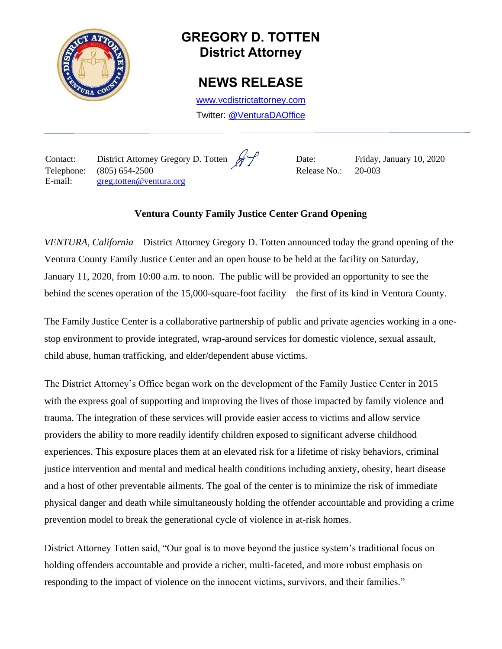

# **GREGORY D. TOTTEN District Attorney**

## **NEWS RELEASE**

[www.vcdistrictattorney.com](http://www.vcdistrictattorney.com/) Twitter: [@VenturaDAOffice](https://twitter.com/venturadaoffice)

Contact: District Attorney Gregory D. Totten  $\mathscr{H}$  Date: Friday, January 10, 2020 Telephone: (805) 654-2500 Release No.: 20-003 E-mail: [greg.totten@ventura.org](mailto:greg.totten@ventura.org)

### **Ventura County Family Justice Center Grand Opening**

*VENTURA, California* – District Attorney Gregory D. Totten announced today the grand opening of the Ventura County Family Justice Center and an open house to be held at the facility on Saturday, January 11, 2020, from 10:00 a.m. to noon. The public will be provided an opportunity to see the behind the scenes operation of the 15,000-square-foot facility – the first of its kind in Ventura County.

The Family Justice Center is a collaborative partnership of public and private agencies working in a onestop environment to provide integrated, wrap-around services for domestic violence, sexual assault, child abuse, human trafficking, and elder/dependent abuse victims.

The District Attorney's Office began work on the development of the Family Justice Center in 2015 with the express goal of supporting and improving the lives of those impacted by family violence and trauma. The integration of these services will provide easier access to victims and allow service providers the ability to more readily identify children exposed to significant adverse childhood experiences. This exposure places them at an elevated risk for a lifetime of risky behaviors, criminal justice intervention and mental and medical health conditions including anxiety, obesity, heart disease and a host of other preventable ailments. The goal of the center is to minimize the risk of immediate physical danger and death while simultaneously holding the offender accountable and providing a crime prevention model to break the generational cycle of violence in at-risk homes.

District Attorney Totten said, "Our goal is to move beyond the justice system's traditional focus on holding offenders accountable and provide a richer, multi-faceted, and more robust emphasis on responding to the impact of violence on the innocent victims, survivors, and their families."